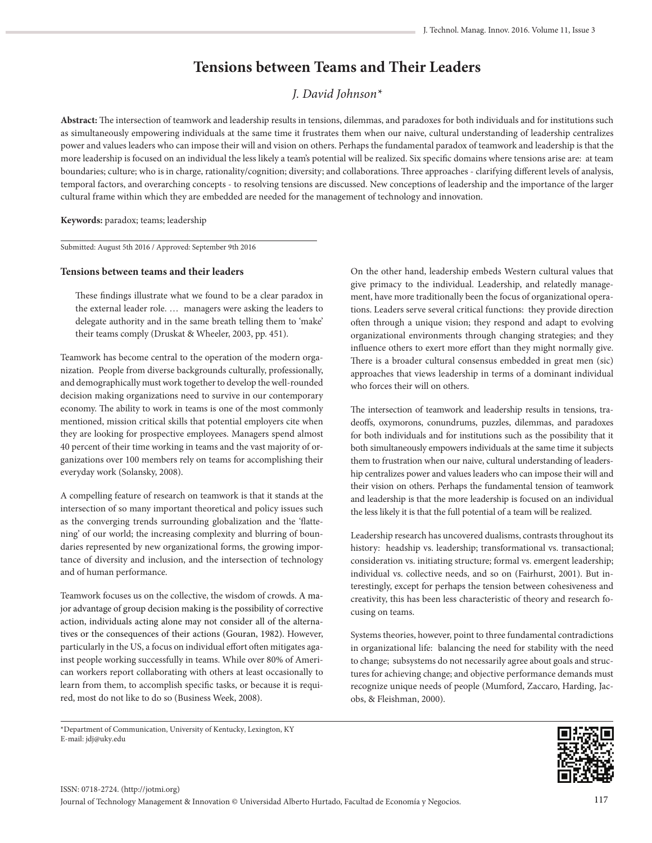# **Tensions between Teams and Their Leaders**

## *J. David Johnson\**

**Abstract:** The intersection of teamwork and leadership results in tensions, dilemmas, and paradoxes for both individuals and for institutions such as simultaneously empowering individuals at the same time it frustrates them when our naive, cultural understanding of leadership centralizes power and values leaders who can impose their will and vision on others. Perhaps the fundamental paradox of teamwork and leadership is that the more leadership is focused on an individual the less likely a team's potential will be realized. Six specific domains where tensions arise are: at team boundaries; culture; who is in charge, rationality/cognition; diversity; and collaborations. Three approaches - clarifying different levels of analysis, temporal factors, and overarching concepts - to resolving tensions are discussed. New conceptions of leadership and the importance of the larger cultural frame within which they are embedded are needed for the management of technology and innovation.

## **Keywords:** paradox; teams; leadership

Submitted: August 5th 2016 / Approved: September 9th 2016

## **Tensions between teams and their leaders**

These findings illustrate what we found to be a clear paradox in the external leader role. … managers were asking the leaders to delegate authority and in the same breath telling them to 'make' their teams comply (Druskat & Wheeler, 2003, pp. 451).

Teamwork has become central to the operation of the modern organization. People from diverse backgrounds culturally, professionally, and demographically must work together to develop the well-rounded decision making organizations need to survive in our contemporary economy. The ability to work in teams is one of the most commonly mentioned, mission critical skills that potential employers cite when they are looking for prospective employees. Managers spend almost 40 percent of their time working in teams and the vast majority of organizations over 100 members rely on teams for accomplishing their everyday work (Solansky, 2008).

A compelling feature of research on teamwork is that it stands at the intersection of so many important theoretical and policy issues such as the converging trends surrounding globalization and the 'flattening' of our world; the increasing complexity and blurring of boundaries represented by new organizational forms, the growing importance of diversity and inclusion, and the intersection of technology and of human performance.

Teamwork focuses us on the collective, the wisdom of crowds. A major advantage of group decision making is the possibility of corrective action, individuals acting alone may not consider all of the alternatives or the consequences of their actions (Gouran, 1982). However, particularly in the US, a focus on individual effort often mitigates against people working successfully in teams. While over 80% of American workers report collaborating with others at least occasionally to learn from them, to accomplish specific tasks, or because it is required, most do not like to do so (Business Week, 2008).

On the other hand, leadership embeds Western cultural values that give primacy to the individual. Leadership, and relatedly management, have more traditionally been the focus of organizational operations. Leaders serve several critical functions: they provide direction often through a unique vision; they respond and adapt to evolving organizational environments through changing strategies; and they influence others to exert more effort than they might normally give. There is a broader cultural consensus embedded in great men (sic) approaches that views leadership in terms of a dominant individual who forces their will on others.

The intersection of teamwork and leadership results in tensions, tradeoffs, oxymorons, conundrums, puzzles, dilemmas, and paradoxes for both individuals and for institutions such as the possibility that it both simultaneously empowers individuals at the same time it subjects them to frustration when our naive, cultural understanding of leadership centralizes power and values leaders who can impose their will and their vision on others. Perhaps the fundamental tension of teamwork and leadership is that the more leadership is focused on an individual the less likely it is that the full potential of a team will be realized.

Leadership research has uncovered dualisms, contrasts throughout its history: headship vs. leadership; transformational vs. transactional; consideration vs. initiating structure; formal vs. emergent leadership; individual vs. collective needs, and so on (Fairhurst, 2001). But interestingly, except for perhaps the tension between cohesiveness and creativity, this has been less characteristic of theory and research focusing on teams.

Systems theories, however, point to three fundamental contradictions in organizational life: balancing the need for stability with the need to change; subsystems do not necessarily agree about goals and structures for achieving change; and objective performance demands must recognize unique needs of people (Mumford, Zaccaro, Harding, Jacobs, & Fleishman, 2000).

\*Department of Communication, University of Kentucky, Lexington, KY E-mail: jdj@uky.edu

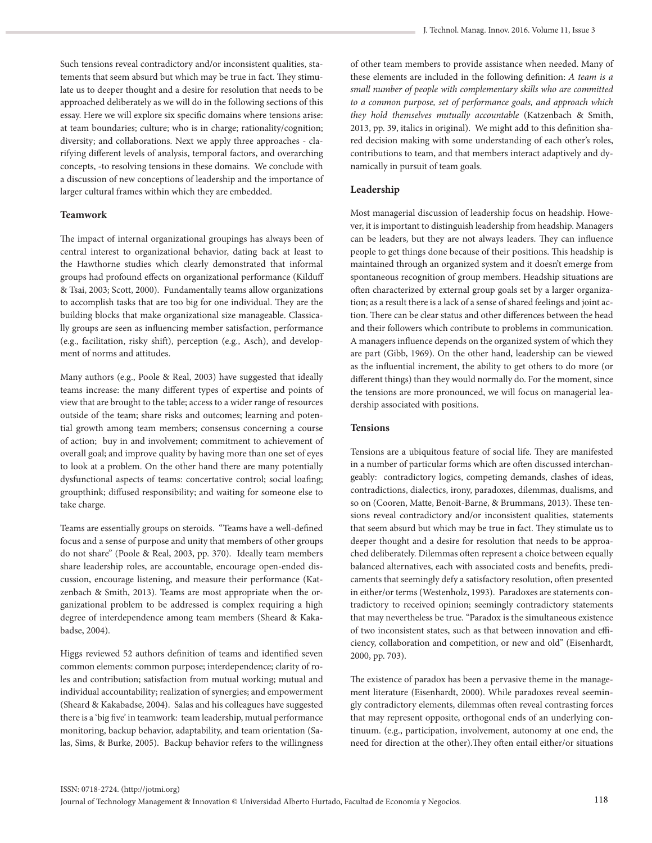Such tensions reveal contradictory and/or inconsistent qualities, statements that seem absurd but which may be true in fact. They stimulate us to deeper thought and a desire for resolution that needs to be approached deliberately as we will do in the following sections of this essay. Here we will explore six specific domains where tensions arise: at team boundaries; culture; who is in charge; rationality/cognition; diversity; and collaborations. Next we apply three approaches - clarifying different levels of analysis, temporal factors, and overarching concepts, -to resolving tensions in these domains. We conclude with a discussion of new conceptions of leadership and the importance of larger cultural frames within which they are embedded.

## **Teamwork**

The impact of internal organizational groupings has always been of central interest to organizational behavior, dating back at least to the Hawthorne studies which clearly demonstrated that informal groups had profound effects on organizational performance (Kilduff & Tsai, 2003; Scott, 2000). Fundamentally teams allow organizations to accomplish tasks that are too big for one individual. They are the building blocks that make organizational size manageable. Classically groups are seen as influencing member satisfaction, performance (e.g., facilitation, risky shift), perception (e.g., Asch), and development of norms and attitudes.

Many authors (e.g., Poole & Real, 2003) have suggested that ideally teams increase: the many different types of expertise and points of view that are brought to the table; access to a wider range of resources outside of the team; share risks and outcomes; learning and potential growth among team members; consensus concerning a course of action; buy in and involvement; commitment to achievement of overall goal; and improve quality by having more than one set of eyes to look at a problem. On the other hand there are many potentially dysfunctional aspects of teams: concertative control; social loafing; groupthink; diffused responsibility; and waiting for someone else to take charge.

Teams are essentially groups on steroids. "Teams have a well-defined focus and a sense of purpose and unity that members of other groups do not share" (Poole & Real, 2003, pp. 370). Ideally team members share leadership roles, are accountable, encourage open-ended discussion, encourage listening, and measure their performance (Katzenbach & Smith, 2013). Teams are most appropriate when the organizational problem to be addressed is complex requiring a high degree of interdependence among team members (Sheard & Kakabadse, 2004).

Higgs reviewed 52 authors definition of teams and identified seven common elements: common purpose; interdependence; clarity of roles and contribution; satisfaction from mutual working; mutual and individual accountability; realization of synergies; and empowerment (Sheard & Kakabadse, 2004). Salas and his colleagues have suggested there is a 'big five' in teamwork: team leadership, mutual performance monitoring, backup behavior, adaptability, and team orientation (Salas, Sims, & Burke, 2005). Backup behavior refers to the willingness

of other team members to provide assistance when needed. Many of these elements are included in the following definition: *A team is a small number of people with complementary skills who are committed to a common purpose, set of performance goals, and approach which they hold themselves mutually accountable* (Katzenbach & Smith, 2013, pp. 39, italics in original). We might add to this definition shared decision making with some understanding of each other's roles, contributions to team, and that members interact adaptively and dynamically in pursuit of team goals.

## **Leadership**

Most managerial discussion of leadership focus on headship. However, it is important to distinguish leadership from headship. Managers can be leaders, but they are not always leaders. They can influence people to get things done because of their positions. This headship is maintained through an organized system and it doesn't emerge from spontaneous recognition of group members. Headship situations are often characterized by external group goals set by a larger organization; as a result there is a lack of a sense of shared feelings and joint action. There can be clear status and other differences between the head and their followers which contribute to problems in communication. A managers influence depends on the organized system of which they are part (Gibb, 1969). On the other hand, leadership can be viewed as the influential increment, the ability to get others to do more (or different things) than they would normally do. For the moment, since the tensions are more pronounced, we will focus on managerial leadership associated with positions.

## **Tensions**

Tensions are a ubiquitous feature of social life. They are manifested in a number of particular forms which are often discussed interchangeably: contradictory logics, competing demands, clashes of ideas, contradictions, dialectics, irony, paradoxes, dilemmas, dualisms, and so on (Cooren, Matte, Benoit-Barne, & Brummans, 2013). These tensions reveal contradictory and/or inconsistent qualities, statements that seem absurd but which may be true in fact. They stimulate us to deeper thought and a desire for resolution that needs to be approached deliberately. Dilemmas often represent a choice between equally balanced alternatives, each with associated costs and benefits, predicaments that seemingly defy a satisfactory resolution, often presented in either/or terms (Westenholz, 1993). Paradoxes are statements contradictory to received opinion; seemingly contradictory statements that may nevertheless be true. "Paradox is the simultaneous existence of two inconsistent states, such as that between innovation and efficiency, collaboration and competition, or new and old" (Eisenhardt, 2000, pp. 703).

The existence of paradox has been a pervasive theme in the management literature (Eisenhardt, 2000). While paradoxes reveal seemingly contradictory elements, dilemmas often reveal contrasting forces that may represent opposite, orthogonal ends of an underlying continuum. (e.g., participation, involvement, autonomy at one end, the need for direction at the other).They often entail either/or situations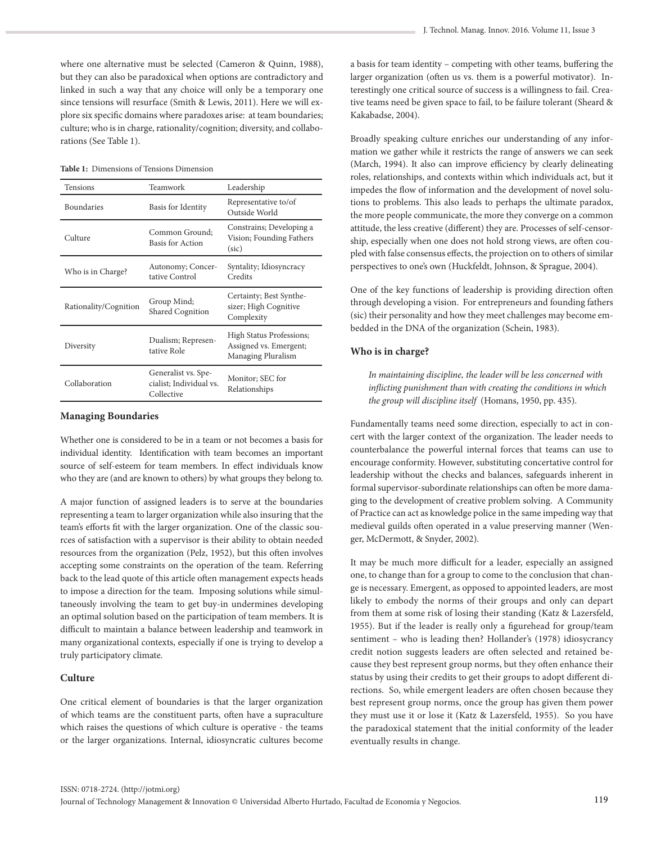where one alternative must be selected (Cameron & Quinn, 1988), but they can also be paradoxical when options are contradictory and linked in such a way that any choice will only be a temporary one since tensions will resurface (Smith & Lewis, 2011). Here we will explore six specific domains where paradoxes arise: at team boundaries; culture; who is in charge, rationality/cognition; diversity, and collaborations (See Table 1).

**Table 1:** Dimensions of Tensions Dimension

| <b>Tensions</b>       | Teamwork                                                                                                 | Leadership                                                               |  |
|-----------------------|----------------------------------------------------------------------------------------------------------|--------------------------------------------------------------------------|--|
| <b>Boundaries</b>     | Basis for Identity                                                                                       | Representative to/of<br>Outside World                                    |  |
| Culture               | Constrains; Developing a<br>Common Ground:<br>Vision; Founding Fathers<br>Basis for Action<br>(sic)      |                                                                          |  |
| Who is in Charge?     | Autonomy; Concer-<br>tative Control                                                                      | Syntality; Idiosyncracy<br>Credits                                       |  |
| Rationality/Cognition | Certainty; Best Synthe-<br>Group Mind;<br>sizer; High Cognitive<br><b>Shared Cognition</b><br>Complexity |                                                                          |  |
| Diversity             | Dualism; Represen-<br>tative Role                                                                        | High Status Professions;<br>Assigned vs. Emergent;<br>Managing Pluralism |  |
| Collaboration         | Generalist vs. Spe-<br>cialist; Individual vs.<br>Collective                                             | Monitor; SEC for<br>Relationships                                        |  |

#### **Managing Boundaries**

Whether one is considered to be in a team or not becomes a basis for individual identity. Identification with team becomes an important source of self-esteem for team members. In effect individuals know who they are (and are known to others) by what groups they belong to.

A major function of assigned leaders is to serve at the boundaries representing a team to larger organization while also insuring that the team's efforts fit with the larger organization. One of the classic sources of satisfaction with a supervisor is their ability to obtain needed resources from the organization (Pelz, 1952), but this often involves accepting some constraints on the operation of the team. Referring back to the lead quote of this article often management expects heads to impose a direction for the team. Imposing solutions while simultaneously involving the team to get buy-in undermines developing an optimal solution based on the participation of team members. It is difficult to maintain a balance between leadership and teamwork in many organizational contexts, especially if one is trying to develop a truly participatory climate.

## **Culture**

One critical element of boundaries is that the larger organization of which teams are the constituent parts, often have a supraculture which raises the questions of which culture is operative - the teams or the larger organizations. Internal, idiosyncratic cultures become a basis for team identity – competing with other teams, buffering the larger organization (often us vs. them is a powerful motivator). Interestingly one critical source of success is a willingness to fail. Creative teams need be given space to fail, to be failure tolerant (Sheard & Kakabadse, 2004).

Broadly speaking culture enriches our understanding of any information we gather while it restricts the range of answers we can seek (March, 1994). It also can improve efficiency by clearly delineating roles, relationships, and contexts within which individuals act, but it impedes the flow of information and the development of novel solutions to problems. This also leads to perhaps the ultimate paradox, the more people communicate, the more they converge on a common attitude, the less creative (different) they are. Processes of self-censorship, especially when one does not hold strong views, are often coupled with false consensus effects, the projection on to others of similar perspectives to one's own (Huckfeldt, Johnson, & Sprague, 2004).

One of the key functions of leadership is providing direction often through developing a vision. For entrepreneurs and founding fathers (sic) their personality and how they meet challenges may become embedded in the DNA of the organization (Schein, 1983).

## **Who is in charge?**

*In maintaining discipline, the leader will be less concerned with inflicting punishment than with creating the conditions in which the group will discipline itself* (Homans, 1950, pp. 435).

Fundamentally teams need some direction, especially to act in concert with the larger context of the organization. The leader needs to counterbalance the powerful internal forces that teams can use to encourage conformity. However, substituting concertative control for leadership without the checks and balances, safeguards inherent in formal supervisor-subordinate relationships can often be more damaging to the development of creative problem solving. A Community of Practice can act as knowledge police in the same impeding way that medieval guilds often operated in a value preserving manner (Wenger, McDermott, & Snyder, 2002).

It may be much more difficult for a leader, especially an assigned one, to change than for a group to come to the conclusion that change is necessary. Emergent, as opposed to appointed leaders, are most likely to embody the norms of their groups and only can depart from them at some risk of losing their standing (Katz & Lazersfeld, 1955). But if the leader is really only a figurehead for group/team sentiment – who is leading then? Hollander's (1978) idiosycrancy credit notion suggests leaders are often selected and retained because they best represent group norms, but they often enhance their status by using their credits to get their groups to adopt different directions. So, while emergent leaders are often chosen because they best represent group norms, once the group has given them power they must use it or lose it (Katz & Lazersfeld, 1955). So you have the paradoxical statement that the initial conformity of the leader eventually results in change.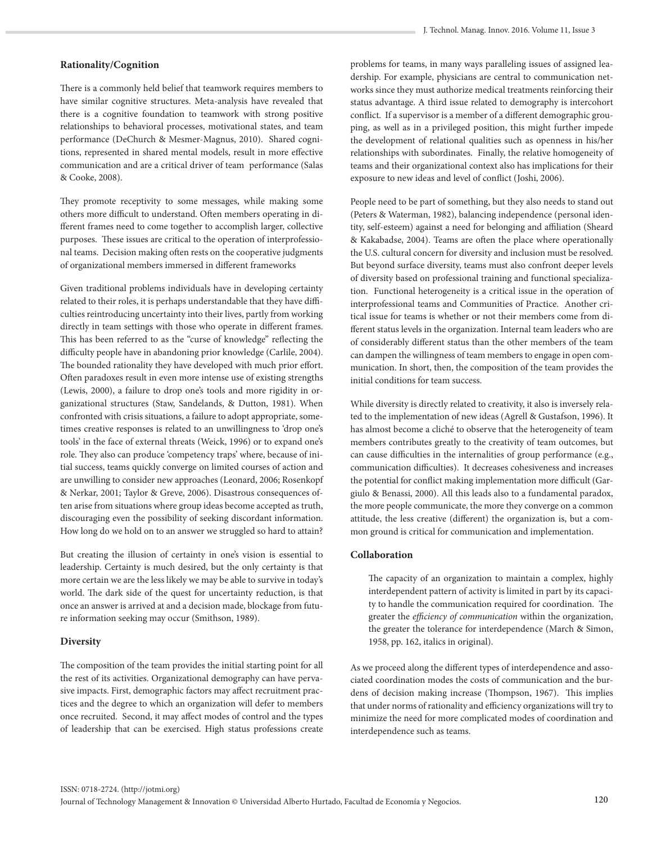## **Rationality/Cognition**

There is a commonly held belief that teamwork requires members to have similar cognitive structures. Meta-analysis have revealed that there is a cognitive foundation to teamwork with strong positive relationships to behavioral processes, motivational states, and team performance (DeChurch & Mesmer-Magnus, 2010). Shared cognitions, represented in shared mental models, result in more effective communication and are a critical driver of team performance (Salas & Cooke, 2008).

They promote receptivity to some messages, while making some others more difficult to understand. Often members operating in different frames need to come together to accomplish larger, collective purposes. These issues are critical to the operation of interprofessional teams. Decision making often rests on the cooperative judgments of organizational members immersed in different frameworks

Given traditional problems individuals have in developing certainty related to their roles, it is perhaps understandable that they have difficulties reintroducing uncertainty into their lives, partly from working directly in team settings with those who operate in different frames. This has been referred to as the "curse of knowledge" reflecting the difficulty people have in abandoning prior knowledge (Carlile, 2004). The bounded rationality they have developed with much prior effort. Often paradoxes result in even more intense use of existing strengths (Lewis, 2000), a failure to drop one's tools and more rigidity in organizational structures (Staw, Sandelands, & Dutton, 1981). When confronted with crisis situations, a failure to adopt appropriate, sometimes creative responses is related to an unwillingness to 'drop one's tools' in the face of external threats (Weick, 1996) or to expand one's role. They also can produce 'competency traps' where, because of initial success, teams quickly converge on limited courses of action and are unwilling to consider new approaches (Leonard, 2006; Rosenkopf & Nerkar, 2001; Taylor & Greve, 2006). Disastrous consequences often arise from situations where group ideas become accepted as truth, discouraging even the possibility of seeking discordant information. How long do we hold on to an answer we struggled so hard to attain?

But creating the illusion of certainty in one's vision is essential to leadership. Certainty is much desired, but the only certainty is that more certain we are the less likely we may be able to survive in today's world. The dark side of the quest for uncertainty reduction, is that once an answer is arrived at and a decision made, blockage from future information seeking may occur (Smithson, 1989).

#### **Diversity**

The composition of the team provides the initial starting point for all the rest of its activities. Organizational demography can have pervasive impacts. First, demographic factors may affect recruitment practices and the degree to which an organization will defer to members once recruited. Second, it may affect modes of control and the types of leadership that can be exercised. High status professions create problems for teams, in many ways paralleling issues of assigned leadership. For example, physicians are central to communication networks since they must authorize medical treatments reinforcing their status advantage. A third issue related to demography is intercohort conflict. If a supervisor is a member of a different demographic grouping, as well as in a privileged position, this might further impede the development of relational qualities such as openness in his/her relationships with subordinates. Finally, the relative homogeneity of teams and their organizational context also has implications for their exposure to new ideas and level of conflict (Joshi, 2006).

People need to be part of something, but they also needs to stand out (Peters & Waterman, 1982), balancing independence (personal identity, self-esteem) against a need for belonging and affiliation (Sheard & Kakabadse, 2004). Teams are often the place where operationally the U.S. cultural concern for diversity and inclusion must be resolved. But beyond surface diversity, teams must also confront deeper levels of diversity based on professional training and functional specialization. Functional heterogeneity is a critical issue in the operation of interprofessional teams and Communities of Practice. Another critical issue for teams is whether or not their members come from different status levels in the organization. Internal team leaders who are of considerably different status than the other members of the team can dampen the willingness of team members to engage in open communication. In short, then, the composition of the team provides the initial conditions for team success.

While diversity is directly related to creativity, it also is inversely related to the implementation of new ideas (Agrell & Gustafson, 1996). It has almost become a cliché to observe that the heterogeneity of team members contributes greatly to the creativity of team outcomes, but can cause difficulties in the internalities of group performance (e.g., communication difficulties). It decreases cohesiveness and increases the potential for conflict making implementation more difficult (Gargiulo & Benassi, 2000). All this leads also to a fundamental paradox, the more people communicate, the more they converge on a common attitude, the less creative (different) the organization is, but a common ground is critical for communication and implementation.

## **Collaboration**

The capacity of an organization to maintain a complex, highly interdependent pattern of activity is limited in part by its capacity to handle the communication required for coordination. The greater the *efficiency of communication* within the organization, the greater the tolerance for interdependence (March & Simon, 1958, pp. 162, italics in original).

As we proceed along the different types of interdependence and associated coordination modes the costs of communication and the burdens of decision making increase (Thompson, 1967). This implies that under norms of rationality and efficiency organizations will try to minimize the need for more complicated modes of coordination and interdependence such as teams.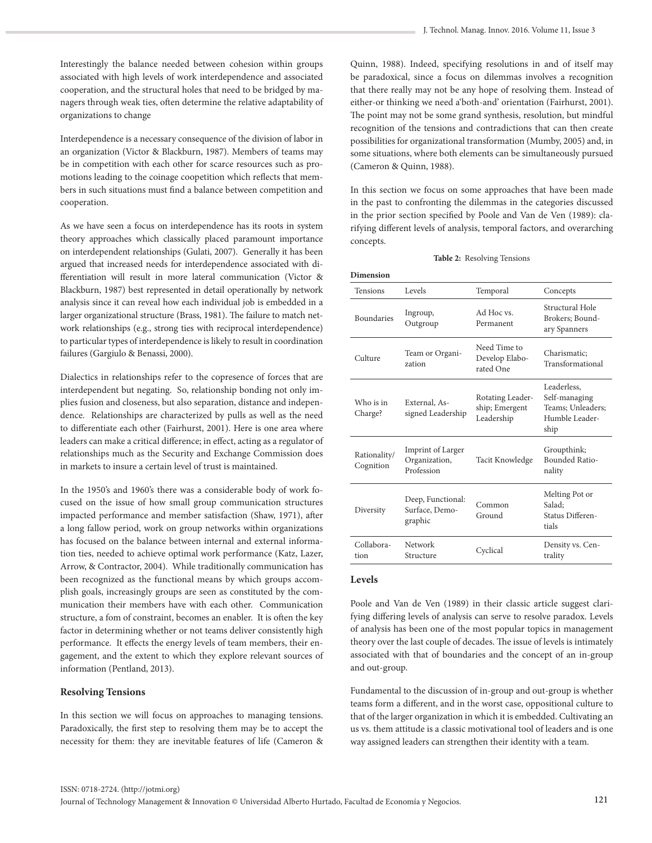Interestingly the balance needed between cohesion within groups associated with high levels of work interdependence and associated cooperation, and the structural holes that need to be bridged by managers through weak ties, often determine the relative adaptability of organizations to change

Interdependence is a necessary consequence of the division of labor in an organization (Victor & Blackburn, 1987). Members of teams may be in competition with each other for scarce resources such as promotions leading to the coinage coopetition which reflects that members in such situations must find a balance between competition and cooperation.

As we have seen a focus on interdependence has its roots in system theory approaches which classically placed paramount importance on interdependent relationships (Gulati, 2007). Generally it has been argued that increased needs for interdependence associated with differentiation will result in more lateral communication (Victor & Blackburn, 1987) best represented in detail operationally by network analysis since it can reveal how each individual job is embedded in a larger organizational structure (Brass, 1981). The failure to match network relationships (e.g., strong ties with reciprocal interdependence) to particular types of interdependence is likely to result in coordination failures (Gargiulo & Benassi, 2000).

Dialectics in relationships refer to the copresence of forces that are interdependent but negating. So, relationship bonding not only implies fusion and closeness, but also separation, distance and independence. Relationships are characterized by pulls as well as the need to differentiate each other (Fairhurst, 2001). Here is one area where leaders can make a critical difference; in effect, acting as a regulator of relationships much as the Security and Exchange Commission does in markets to insure a certain level of trust is maintained.

In the 1950's and 1960's there was a considerable body of work focused on the issue of how small group communication structures impacted performance and member satisfaction (Shaw, 1971), after a long fallow period, work on group networks within organizations has focused on the balance between internal and external information ties, needed to achieve optimal work performance (Katz, Lazer, Arrow, & Contractor, 2004). While traditionally communication has been recognized as the functional means by which groups accomplish goals, increasingly groups are seen as constituted by the communication their members have with each other. Communication structure, a fom of constraint, becomes an enabler. It is often the key factor in determining whether or not teams deliver consistently high performance. It effects the energy levels of team members, their engagement, and the extent to which they explore relevant sources of information (Pentland, 2013).

## **Resolving Tensions**

In this section we will focus on approaches to managing tensions. Paradoxically, the first step to resolving them may be to accept the necessity for them: they are inevitable features of life (Cameron & Quinn, 1988). Indeed, specifying resolutions in and of itself may be paradoxical, since a focus on dilemmas involves a recognition that there really may not be any hope of resolving them. Instead of either-or thinking we need a'both-and' orientation (Fairhurst, 2001). The point may not be some grand synthesis, resolution, but mindful recognition of the tensions and contradictions that can then create possibilities for organizational transformation (Mumby, 2005) and, in some situations, where both elements can be simultaneously pursued (Cameron & Quinn, 1988).

In this section we focus on some approaches that have been made in the past to confronting the dilemmas in the categories discussed in the prior section specified by Poole and Van de Ven (1989): clarifying different levels of analysis, temporal factors, and overarching concepts.

#### **Table 2:** Resolving Tensions

| <b>Dimension</b>          |                                                         |                                                  |                                                                             |
|---------------------------|---------------------------------------------------------|--------------------------------------------------|-----------------------------------------------------------------------------|
| <b>Tensions</b>           | Levels                                                  | Temporal                                         | Concepts                                                                    |
| <b>Boundaries</b>         | Ingroup,<br>Outgroup                                    | Ad Hoc ys.<br>Permanent                          | Structural Hole<br>Brokers: Bound-<br>ary Spanners                          |
| Culture                   | Team or Organi-<br>zation                               | Need Time to<br>Develop Elabo-<br>rated One      | Charismatic:<br>Transformational                                            |
| Who is in<br>Charge?      | External, As-<br>signed Leadership                      | Rotating Leader-<br>ship; Emergent<br>Leadership | Leaderless.<br>Self-managing<br>Teams: Unleaders:<br>Humble Leader-<br>ship |
| Rationality/<br>Cognition | <b>Imprint of Larger</b><br>Organization,<br>Profession | Tacit Knowledge                                  | Groupthink;<br><b>Bounded Ratio-</b><br>nality                              |
| Diversity                 | Deep, Functional:<br>Surface, Demo-<br>graphic          | Common<br>Ground                                 | Melting Pot or<br>Salad:<br>Status Differen-<br>tials                       |
| Collabora-<br>tion        | Network<br>Structure                                    | Cyclical                                         | Density vs. Cen-<br>trality                                                 |
|                           |                                                         |                                                  |                                                                             |

## **Levels**

Poole and Van de Ven (1989) in their classic article suggest clarifying differing levels of analysis can serve to resolve paradox. Levels of analysis has been one of the most popular topics in management theory over the last couple of decades. The issue of levels is intimately associated with that of boundaries and the concept of an in-group and out-group.

Fundamental to the discussion of in-group and out-group is whether teams form a different, and in the worst case, oppositional culture to that of the larger organization in which it is embedded. Cultivating an us vs. them attitude is a classic motivational tool of leaders and is one way assigned leaders can strengthen their identity with a team.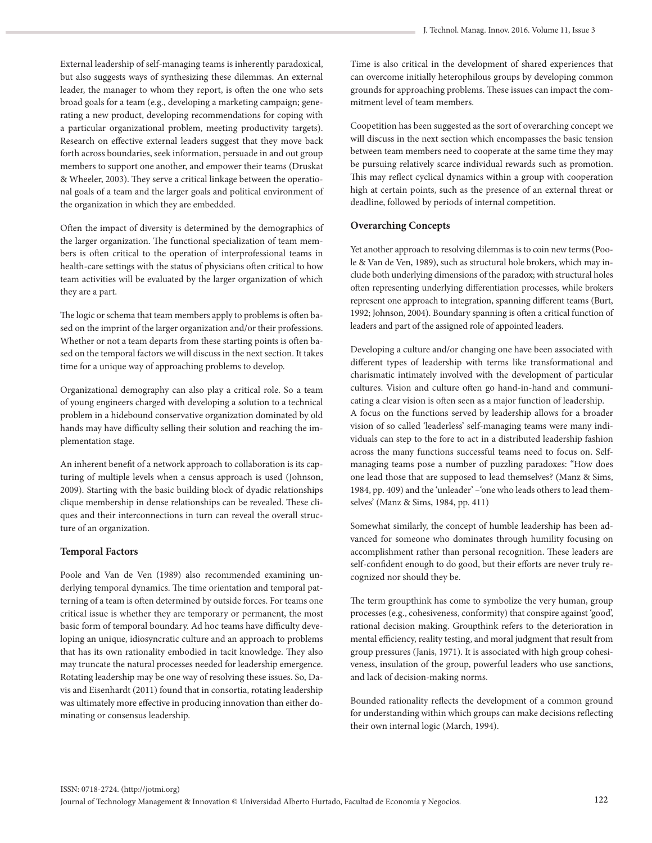External leadership of self-managing teams is inherently paradoxical, but also suggests ways of synthesizing these dilemmas. An external leader, the manager to whom they report, is often the one who sets broad goals for a team (e.g., developing a marketing campaign; generating a new product, developing recommendations for coping with a particular organizational problem, meeting productivity targets). Research on effective external leaders suggest that they move back forth across boundaries, seek information, persuade in and out group members to support one another, and empower their teams (Druskat & Wheeler, 2003). They serve a critical linkage between the operational goals of a team and the larger goals and political environment of the organization in which they are embedded.

Often the impact of diversity is determined by the demographics of the larger organization. The functional specialization of team members is often critical to the operation of interprofessional teams in health-care settings with the status of physicians often critical to how team activities will be evaluated by the larger organization of which they are a part.

The logic or schema that team members apply to problems is often based on the imprint of the larger organization and/or their professions. Whether or not a team departs from these starting points is often based on the temporal factors we will discuss in the next section. It takes time for a unique way of approaching problems to develop.

Organizational demography can also play a critical role. So a team of young engineers charged with developing a solution to a technical problem in a hidebound conservative organization dominated by old hands may have difficulty selling their solution and reaching the implementation stage.

An inherent benefit of a network approach to collaboration is its capturing of multiple levels when a census approach is used (Johnson, 2009). Starting with the basic building block of dyadic relationships clique membership in dense relationships can be revealed. These cliques and their interconnections in turn can reveal the overall structure of an organization.

## **Temporal Factors**

Poole and Van de Ven (1989) also recommended examining underlying temporal dynamics. The time orientation and temporal patterning of a team is often determined by outside forces. For teams one critical issue is whether they are temporary or permanent, the most basic form of temporal boundary. Ad hoc teams have difficulty developing an unique, idiosyncratic culture and an approach to problems that has its own rationality embodied in tacit knowledge. They also may truncate the natural processes needed for leadership emergence. Rotating leadership may be one way of resolving these issues. So, Davis and Eisenhardt (2011) found that in consortia, rotating leadership was ultimately more effective in producing innovation than either dominating or consensus leadership.

Time is also critical in the development of shared experiences that can overcome initially heterophilous groups by developing common grounds for approaching problems. These issues can impact the commitment level of team members.

Coopetition has been suggested as the sort of overarching concept we will discuss in the next section which encompasses the basic tension between team members need to cooperate at the same time they may be pursuing relatively scarce individual rewards such as promotion. This may reflect cyclical dynamics within a group with cooperation high at certain points, such as the presence of an external threat or deadline, followed by periods of internal competition.

## **Overarching Concepts**

Yet another approach to resolving dilemmas is to coin new terms (Poole & Van de Ven, 1989), such as structural hole brokers, which may include both underlying dimensions of the paradox; with structural holes often representing underlying differentiation processes, while brokers represent one approach to integration, spanning different teams (Burt, 1992; Johnson, 2004). Boundary spanning is often a critical function of leaders and part of the assigned role of appointed leaders.

Developing a culture and/or changing one have been associated with different types of leadership with terms like transformational and charismatic intimately involved with the development of particular cultures. Vision and culture often go hand-in-hand and communicating a clear vision is often seen as a major function of leadership. A focus on the functions served by leadership allows for a broader vision of so called 'leaderless' self-managing teams were many individuals can step to the fore to act in a distributed leadership fashion across the many functions successful teams need to focus on. Selfmanaging teams pose a number of puzzling paradoxes: "How does one lead those that are supposed to lead themselves? (Manz & Sims, 1984, pp. 409) and the 'unleader' –'one who leads others to lead themselves' (Manz & Sims, 1984, pp. 411)

Somewhat similarly, the concept of humble leadership has been advanced for someone who dominates through humility focusing on accomplishment rather than personal recognition. These leaders are self-confident enough to do good, but their efforts are never truly recognized nor should they be.

The term groupthink has come to symbolize the very human, group processes (e.g., cohesiveness, conformity) that conspire against 'good', rational decision making. Groupthink refers to the deterioration in mental efficiency, reality testing, and moral judgment that result from group pressures (Janis, 1971). It is associated with high group cohesiveness, insulation of the group, powerful leaders who use sanctions, and lack of decision-making norms.

Bounded rationality reflects the development of a common ground for understanding within which groups can make decisions reflecting their own internal logic (March, 1994).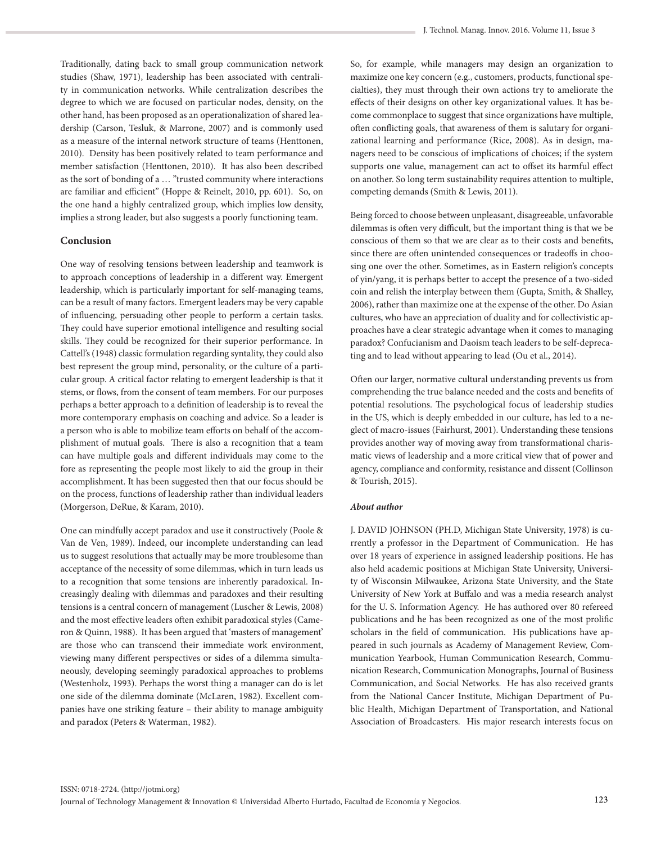Traditionally, dating back to small group communication network studies (Shaw, 1971), leadership has been associated with centrality in communication networks. While centralization describes the degree to which we are focused on particular nodes, density, on the other hand, has been proposed as an operationalization of shared leadership (Carson, Tesluk, & Marrone, 2007) and is commonly used as a measure of the internal network structure of teams (Henttonen, 2010). Density has been positively related to team performance and member satisfaction (Henttonen, 2010). It has also been described as the sort of bonding of a … "trusted community where interactions are familiar and efficient" (Hoppe & Reinelt, 2010, pp. 601). So, on the one hand a highly centralized group, which implies low density, implies a strong leader, but also suggests a poorly functioning team.

## **Conclusion**

One way of resolving tensions between leadership and teamwork is to approach conceptions of leadership in a different way. Emergent leadership, which is particularly important for self-managing teams, can be a result of many factors. Emergent leaders may be very capable of influencing, persuading other people to perform a certain tasks. They could have superior emotional intelligence and resulting social skills. They could be recognized for their superior performance. In Cattell's (1948) classic formulation regarding syntality, they could also best represent the group mind, personality, or the culture of a particular group. A critical factor relating to emergent leadership is that it stems, or flows, from the consent of team members. For our purposes perhaps a better approach to a definition of leadership is to reveal the more contemporary emphasis on coaching and advice. So a leader is a person who is able to mobilize team efforts on behalf of the accomplishment of mutual goals. There is also a recognition that a team can have multiple goals and different individuals may come to the fore as representing the people most likely to aid the group in their accomplishment. It has been suggested then that our focus should be on the process, functions of leadership rather than individual leaders (Morgerson, DeRue, & Karam, 2010).

One can mindfully accept paradox and use it constructively (Poole & Van de Ven, 1989). Indeed, our incomplete understanding can lead us to suggest resolutions that actually may be more troublesome than acceptance of the necessity of some dilemmas, which in turn leads us to a recognition that some tensions are inherently paradoxical. Increasingly dealing with dilemmas and paradoxes and their resulting tensions is a central concern of management (Luscher & Lewis, 2008) and the most effective leaders often exhibit paradoxical styles (Cameron & Quinn, 1988). It has been argued that 'masters of management' are those who can transcend their immediate work environment, viewing many different perspectives or sides of a dilemma simultaneously, developing seemingly paradoxical approaches to problems (Westenholz, 1993). Perhaps the worst thing a manager can do is let one side of the dilemma dominate (McLaren, 1982). Excellent companies have one striking feature – their ability to manage ambiguity and paradox (Peters & Waterman, 1982).

So, for example, while managers may design an organization to maximize one key concern (e.g., customers, products, functional specialties), they must through their own actions try to ameliorate the effects of their designs on other key organizational values. It has become commonplace to suggest that since organizations have multiple, often conflicting goals, that awareness of them is salutary for organizational learning and performance (Rice, 2008). As in design, managers need to be conscious of implications of choices; if the system supports one value, management can act to offset its harmful effect on another. So long term sustainability requires attention to multiple, competing demands (Smith & Lewis, 2011).

Being forced to choose between unpleasant, disagreeable, unfavorable dilemmas is often very difficult, but the important thing is that we be conscious of them so that we are clear as to their costs and benefits, since there are often unintended consequences or tradeoffs in choosing one over the other. Sometimes, as in Eastern religion's concepts of yin/yang, it is perhaps better to accept the presence of a two-sided coin and relish the interplay between them (Gupta, Smith, & Shalley, 2006), rather than maximize one at the expense of the other. Do Asian cultures, who have an appreciation of duality and for collectivistic approaches have a clear strategic advantage when it comes to managing paradox? Confucianism and Daoism teach leaders to be self-deprecating and to lead without appearing to lead (Ou et al., 2014).

Often our larger, normative cultural understanding prevents us from comprehending the true balance needed and the costs and benefits of potential resolutions. The psychological focus of leadership studies in the US, which is deeply embedded in our culture, has led to a neglect of macro-issues (Fairhurst, 2001). Understanding these tensions provides another way of moving away from transformational charismatic views of leadership and a more critical view that of power and agency, compliance and conformity, resistance and dissent (Collinson & Tourish, 2015).

## *About author*

J. DAVID JOHNSON (PH.D, Michigan State University, 1978) is currently a professor in the Department of Communication. He has over 18 years of experience in assigned leadership positions. He has also held academic positions at Michigan State University, University of Wisconsin Milwaukee, Arizona State University, and the State University of New York at Buffalo and was a media research analyst for the U. S. Information Agency. He has authored over 80 refereed publications and he has been recognized as one of the most prolific scholars in the field of communication. His publications have appeared in such journals as Academy of Management Review, Communication Yearbook, Human Communication Research, Communication Research, Communication Monographs, Journal of Business Communication, and Social Networks. He has also received grants from the National Cancer Institute, Michigan Department of Public Health, Michigan Department of Transportation, and National Association of Broadcasters. His major research interests focus on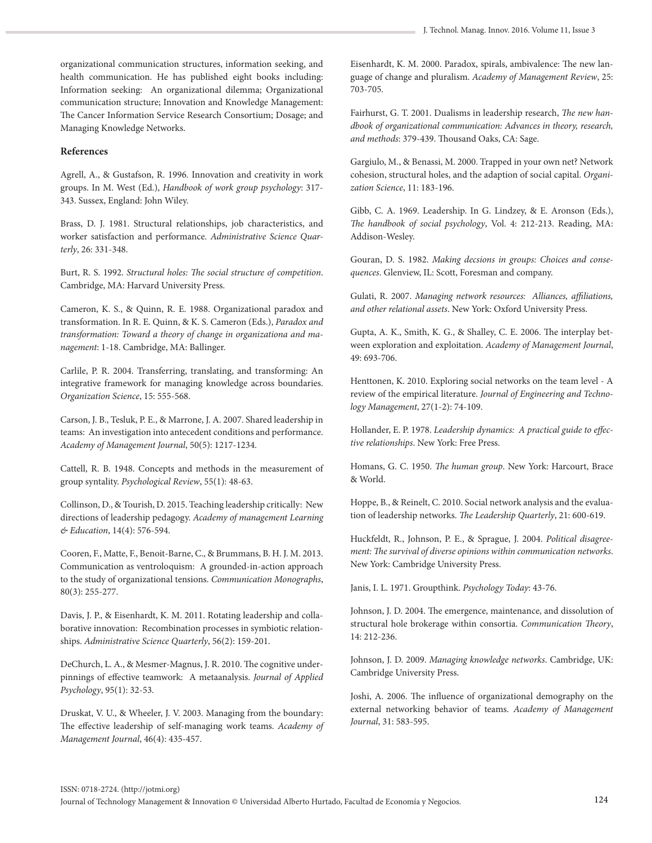organizational communication structures, information seeking, and health communication. He has published eight books including: Information seeking: An organizational dilemma; Organizational communication structure; Innovation and Knowledge Management: The Cancer Information Service Research Consortium; Dosage; and Managing Knowledge Networks.

## **References**

Agrell, A., & Gustafson, R. 1996. Innovation and creativity in work groups. In M. West (Ed.), *Handbook of work group psychology*: 317- 343. Sussex, England: John Wiley.

Brass, D. J. 1981. Structural relationships, job characteristics, and worker satisfaction and performance. *Administrative Science Quarterly*, 26: 331-348.

Burt, R. S. 1992. *Structural holes: The social structure of competition*. Cambridge, MA: Harvard University Press.

Cameron, K. S., & Quinn, R. E. 1988. Organizational paradox and transformation. In R. E. Quinn, & K. S. Cameron (Eds.), *Paradox and transformation: Toward a theory of change in organizationa and management*: 1-18. Cambridge, MA: Ballinger.

Carlile, P. R. 2004. Transferring, translating, and transforming: An integrative framework for managing knowledge across boundaries. *Organization Science*, 15: 555-568.

Carson, J. B., Tesluk, P. E., & Marrone, J. A. 2007. Shared leadership in teams: An investigation into antecedent conditions and performance. *Academy of Management Journal*, 50(5): 1217-1234.

Cattell, R. B. 1948. Concepts and methods in the measurement of group syntality. *Psychological Review*, 55(1): 48-63.

Collinson, D., & Tourish, D. 2015. Teaching leadership critically: New directions of leadership pedagogy. *Academy of management Learning & Education*, 14(4): 576-594.

Cooren, F., Matte, F., Benoit-Barne, C., & Brummans, B. H. J. M. 2013. Communication as ventroloquism: A grounded-in-action approach to the study of organizational tensions. *Communication Monographs*, 80(3): 255-277.

Davis, J. P., & Eisenhardt, K. M. 2011. Rotating leadership and collaborative innovation: Recombination processes in symbiotic relationships. *Administrative Science Quarterly*, 56(2): 159-201.

DeChurch, L. A., & Mesmer-Magnus, J. R. 2010. The cognitive underpinnings of effective teamwork: A metaanalysis. *Journal of Applied Psychology*, 95(1): 32-53.

Druskat, V. U., & Wheeler, J. V. 2003. Managing from the boundary: The effective leadership of self-managing work teams. *Academy of Management Journal*, 46(4): 435-457.

Eisenhardt, K. M. 2000. Paradox, spirals, ambivalence: The new language of change and pluralism. *Academy of Management Review*, 25: 703-705.

Fairhurst, G. T. 2001. Dualisms in leadership research, *The new handbook of organizational communication: Advances in theory, research, and methods*: 379-439. Thousand Oaks, CA: Sage.

Gargiulo, M., & Benassi, M. 2000. Trapped in your own net? Network cohesion, structural holes, and the adaption of social capital. *Organization Science*, 11: 183-196.

Gibb, C. A. 1969. Leadership. In G. Lindzey, & E. Aronson (Eds.), *The handbook of social psychology*, Vol. 4: 212-213. Reading, MA: Addison-Wesley.

Gouran, D. S. 1982. *Making decsions in groups: Choices and consequences*. Glenview, IL: Scott, Foresman and company.

Gulati, R. 2007. *Managing network resources: Alliances, affiliations, and other relational assets*. New York: Oxford University Press.

Gupta, A. K., Smith, K. G., & Shalley, C. E. 2006. The interplay between exploration and exploitation. *Academy of Management Journal*, 49: 693-706.

Henttonen, K. 2010. Exploring social networks on the team level - A review of the empirical literature. *Journal of Engineering and Technology Management*, 27(1-2): 74-109.

Hollander, E. P. 1978. *Leadership dynamics: A practical guide to effective relationships*. New York: Free Press.

Homans, G. C. 1950. *The human group*. New York: Harcourt, Brace & World.

Hoppe, B., & Reinelt, C. 2010. Social network analysis and the evaluation of leadership networks. *The Leadership Quarterly*, 21: 600-619.

Huckfeldt, R., Johnson, P. E., & Sprague, J. 2004. *Political disagreement: The survival of diverse opinions within communication networks*. New York: Cambridge University Press.

Janis, I. L. 1971. Groupthink. *Psychology Today*: 43-76.

Johnson, J. D. 2004. The emergence, maintenance, and dissolution of structural hole brokerage within consortia. *Communication Theory*, 14: 212-236.

Johnson, J. D. 2009. *Managing knowledge networks*. Cambridge, UK: Cambridge University Press.

Joshi, A. 2006. The influence of organizational demography on the external networking behavior of teams. *Academy of Management Journal*, 31: 583-595.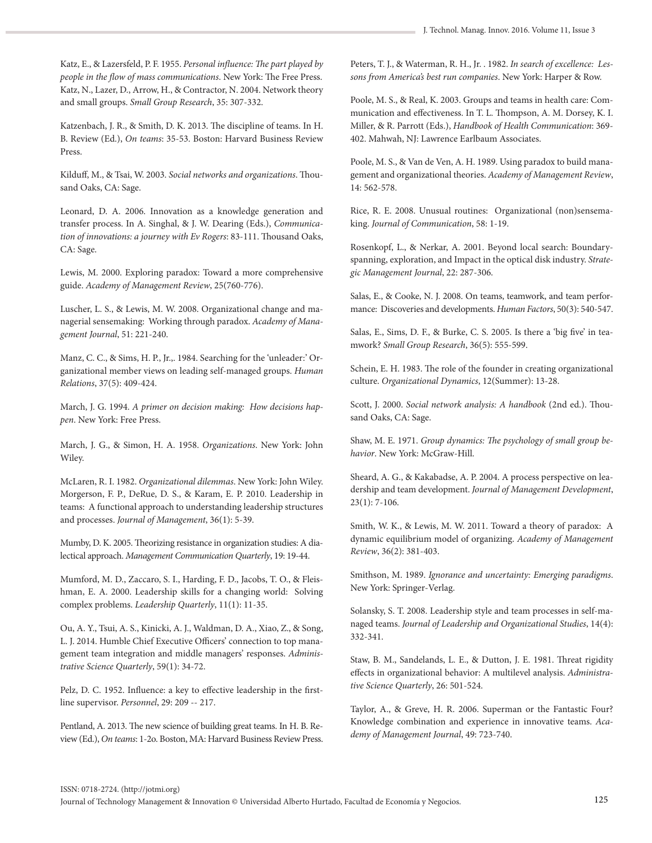Katz, E., & Lazersfeld, P. F. 1955. *Personal influence: The part played by people in the flow of mass communications*. New York: The Free Press. Katz, N., Lazer, D., Arrow, H., & Contractor, N. 2004. Network theory and small groups. *Small Group Research*, 35: 307-332.

Katzenbach, J. R., & Smith, D. K. 2013. The discipline of teams. In H. B. Review (Ed.), *On teams*: 35-53. Boston: Harvard Business Review Press.

Kilduff, M., & Tsai, W. 2003. *Social networks and organizations*. Thousand Oaks, CA: Sage.

Leonard, D. A. 2006. Innovation as a knowledge generation and transfer process. In A. Singhal, & J. W. Dearing (Eds.), *Communication of innovations: a journey with Ev Rogers*: 83-111. Thousand Oaks, CA: Sage.

Lewis, M. 2000. Exploring paradox: Toward a more comprehensive guide. *Academy of Management Review*, 25(760-776).

Luscher, L. S., & Lewis, M. W. 2008. Organizational change and managerial sensemaking: Working through paradox. *Academy of Management Journal*, 51: 221-240.

Manz, C. C., & Sims, H. P., Jr.,. 1984. Searching for the 'unleader:' Organizational member views on leading self-managed groups. *Human Relations*, 37(5): 409-424.

March, J. G. 1994. *A primer on decision making: How decisions happen*. New York: Free Press.

March, J. G., & Simon, H. A. 1958. *Organizations*. New York: John Wiley.

McLaren, R. I. 1982. *Organizational dilemmas*. New York: John Wiley. Morgerson, F. P., DeRue, D. S., & Karam, E. P. 2010. Leadership in teams: A functional approach to understanding leadership structures and processes. *Journal of Management*, 36(1): 5-39.

Mumby, D. K. 2005. Theorizing resistance in organization studies: A dialectical approach. *Management Communication Quarterly*, 19: 19-44.

Mumford, M. D., Zaccaro, S. I., Harding, F. D., Jacobs, T. O., & Fleishman, E. A. 2000. Leadership skills for a changing world: Solving complex problems. *Leadership Quarterly*, 11(1): 11-35.

Ou, A. Y., Tsui, A. S., Kinicki, A. J., Waldman, D. A., Xiao, Z., & Song, L. J. 2014. Humble Chief Executive Officers' connection to top management team integration and middle managers' responses. *Administrative Science Quarterly*, 59(1): 34-72.

Pelz, D. C. 1952. Influence: a key to effective leadership in the firstline supervisor. *Personnel*, 29: 209 -- 217.

Pentland, A. 2013. The new science of building great teams. In H. B. Review (Ed.), *On teams*: 1-2o. Boston, MA: Harvard Business Review Press. Peters, T. J., & Waterman, R. H., Jr. . 1982. *In search of excellence: Lessons from America's best run companies*. New York: Harper & Row.

Poole, M. S., & Real, K. 2003. Groups and teams in health care: Communication and effectiveness. In T. L. Thompson, A. M. Dorsey, K. I. Miller, & R. Parrott (Eds.), *Handbook of Health Communication*: 369- 402. Mahwah, NJ: Lawrence Earlbaum Associates.

Poole, M. S., & Van de Ven, A. H. 1989. Using paradox to build management and organizational theories. *Academy of Management Review*, 14: 562-578.

Rice, R. E. 2008. Unusual routines: Organizational (non)sensemaking. *Journal of Communication*, 58: 1-19.

Rosenkopf, L., & Nerkar, A. 2001. Beyond local search: Boundaryspanning, exploration, and Impact in the optical disk industry. *Strategic Management Journal*, 22: 287-306.

Salas, E., & Cooke, N. J. 2008. On teams, teamwork, and team performance: Discoveries and developments. *Human Factors*, 50(3): 540-547.

Salas, E., Sims, D. F., & Burke, C. S. 2005. Is there a 'big five' in teamwork? *Small Group Research*, 36(5): 555-599.

Schein, E. H. 1983. The role of the founder in creating organizational culture. *Organizational Dynamics*, 12(Summer): 13-28.

Scott, J. 2000. *Social network analysis: A handbook* (2nd ed.). Thousand Oaks, CA: Sage.

Shaw, M. E. 1971. *Group dynamics: The psychology of small group behavior*. New York: McGraw-Hill.

Sheard, A. G., & Kakabadse, A. P. 2004. A process perspective on leadership and team development. *Journal of Management Development*, 23(1): 7-106.

Smith, W. K., & Lewis, M. W. 2011. Toward a theory of paradox: A dynamic equilibrium model of organizing. *Academy of Management Review*, 36(2): 381-403.

Smithson, M. 1989. *Ignorance and uncertainty: Emerging paradigms*. New York: Springer-Verlag.

Solansky, S. T. 2008. Leadership style and team processes in self-managed teams. *Journal of Leadership and Organizational Studies*, 14(4): 332-341.

Staw, B. M., Sandelands, L. E., & Dutton, J. E. 1981. Threat rigidity effects in organizational behavior: A multilevel analysis. *Administrative Science Quarterly*, 26: 501-524.

Taylor, A., & Greve, H. R. 2006. Superman or the Fantastic Four? Knowledge combination and experience in innovative teams. *Academy of Management Journal*, 49: 723-740.